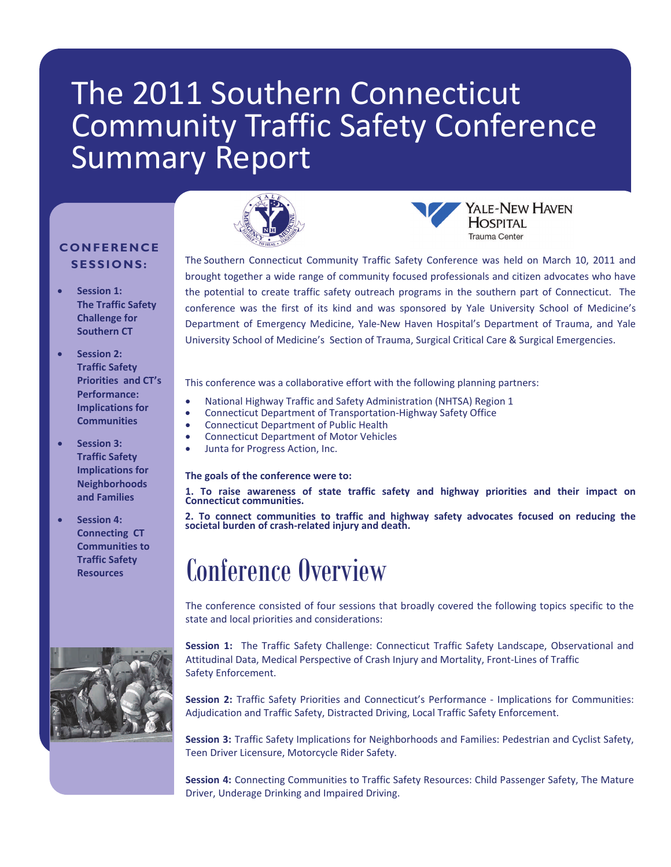# The 2011 Southern Connecticut Community Traffic Safety Conference Summary Report

## **CONFERENCE SESSIONS:**

- **Session 1: The Traffic Safety Challenge for Southern CT**
- **Session 2: Traffic Safety Priorities and CT's Performance: Implications for Communities**

### **Session 3: Traffic Safety Implications for Neighborhoods and Families**

 **Session 4: Connecting CT Communities to Traffic Safety Resources** 





Trauma Center The Southern Connecticut Community Traffic Safety Conference was held on March 10, 2011 and brought together a wide range of community focused professionals and citizen advocates who have the potential to create traffic safety outreach programs in the southern part of Connecticut. The conference was the first of its kind and was sponsored by Yale University School of Medicine's Department of Emergency Medicine, Yale‐New Haven Hospital's Department of Trauma, and Yale

YALE-NEW HAVEN

**HOSPITAL** 

University School of Medicine's Section of Trauma, Surgical Critical Care & Surgical Emergencies.

- This conference was a collaborative effort with the following planning partners:
- National Highway Traffic and Safety Administration (NHTSA) Region 1
- Connecticut Department of Transportation‐Highway Safety Office
- Connecticut Department of Public Health
- Connecticut Department of Motor Vehicles
- Junta for Progress Action, Inc.

#### **The goals of the conference were to:**

1. To raise awareness of state traffic safety and highway priorities and their impact on<br>Connecticut communities.

2. To connect communities to traffic and highway safety advocates focused on reducing the societal burden of crash-related injury and death.

# Conference Overview

The conference consisted of four sessions that broadly covered the following topics specific to the state and local priorities and considerations:

**Session 1:** The Traffic Safety Challenge: Connecticut Traffic Safety Landscape, Observational and Attitudinal Data, Medical Perspective of Crash Injury and Mortality, Front‐Lines of Traffic Safety Enforcement.

**Session 2:** Traffic Safety Priorities and Connecticut's Performance ‐ Implications for Communities: Adjudication and Traffic Safety, Distracted Driving, Local Traffic Safety Enforcement.

**Session 3:** Traffic Safety Implications for Neighborhoods and Families: Pedestrian and Cyclist Safety, Teen Driver Licensure, Motorcycle Rider Safety.

**Session 4:** Connecting Communities to Traffic Safety Resources: Child Passenger Safety, The Mature Driver, Underage Drinking and Impaired Driving.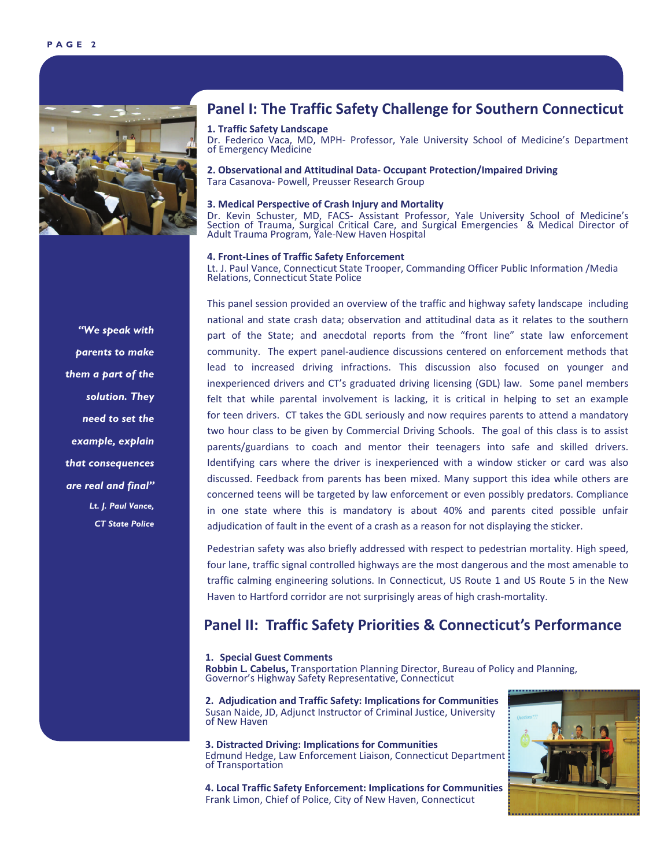

## **Panel I: The Traffic Safety Challenge for Southern Connecticut**

#### **1. Traffic Safety Landscape**

Dr. Federico Vaca, MD, MPH- Professor, Yale University School of Medicine's Department of Emergency Medicine

**2. Observational and Attitudinal Data‐ Occupant Protection/Impaired Driving** Tara Casanova‐ Powell, Preusser Research Group

#### **3. Medical Perspective of Crash Injury and Mortality**

Dr. Kevin Schuster, MD, FACS‐ Assistant Professor, Yale University School of Medicine's Section of Trauma, Surgical Critical Care, and Surgical Emergencies & Medical Director of Adult Trauma Program, Yale‐New Haven Hospital

#### **4. Front‐Lines of Traffic Safety Enforcement**

Lt. J. Paul Vance, Connecticut State Trooper, Commanding Officer Public Information /Media Relations, Connecticut State Police

This panel session provided an overview of the traffic and highway safety landscape including national and state crash data; observation and attitudinal data as it relates to the southern part of the State; and anecdotal reports from the "front line" state law enforcement community. The expert panel‐audience discussions centered on enforcement methods that lead to increased driving infractions. This discussion also focused on younger and inexperienced drivers and CT's graduated driving licensing (GDL) law. Some panel members felt that while parental involvement is lacking, it is critical in helping to set an example for teen drivers. CT takes the GDL seriously and now requires parents to attend a mandatory two hour class to be given by Commercial Driving Schools. The goal of this class is to assist parents/guardians to coach and mentor their teenagers into safe and skilled drivers. Identifying cars where the driver is inexperienced with a window sticker or card was also discussed. Feedback from parents has been mixed. Many support this idea while others are concerned teens will be targeted by law enforcement or even possibly predators. Compliance in one state where this is mandatory is about 40% and parents cited possible unfair adjudication of fault in the event of a crash as a reason for not displaying the sticker.

Pedestrian safety was also briefly addressed with respect to pedestrian mortality. High speed, four lane, traffic signal controlled highways are the most dangerous and the most amenable to traffic calming engineering solutions. In Connecticut, US Route 1 and US Route 5 in the New Haven to Hartford corridor are not surprisingly areas of high crash-mortality.

### **Panel II: Traffic Safety Priorities & Connecticut's Performance**

#### **1. Special Guest Comments**

**Robbin L. Cabelus,** Transportation Planning Director, Bureau of Policy and Planning, Governor's Highway Safety Representative, Connecticut

**2. Adjudication and Traffic Safety: Implications for Communities** Susan Naide, JD, Adjunct Instructor of Criminal Justice, University of New Haven

**3. Distracted Driving: Implications for Communities** Edmund Hedge, Law Enforcement Liaison, Connecticut Department of Transportation

**4. Local Traffic Safety Enforcement: Implications for Communities** Frank Limon, Chief of Police, City of New Haven, Connecticut



*"We speak with parents to make them a part of the solution. They need to set the example, explain that consequences are real and final" Lt. J. Paul Vance, CT State Police*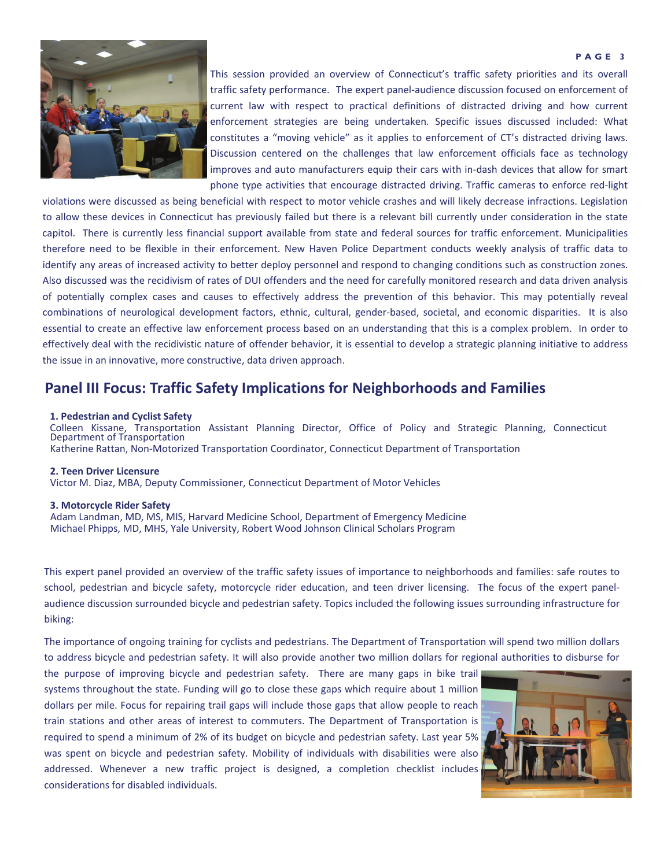#### **PAGE 3**



This session provided an overview of Connecticut's traffic safety priorities and its overall traffic safety performance.The expert panel‐audience discussion focused on enforcement of current law with respect to practical definitions of distracted driving and how current enforcement strategies are being undertaken. Specific issues discussed included: What constitutes a "moving vehicle" as it applies to enforcement of CT's distracted driving laws. Discussion centered on the challenges that law enforcement officials face as technology improves and auto manufacturers equip their cars with in-dash devices that allow for smart phone type activities that encourage distracted driving. Traffic cameras to enforce red‐light

violations were discussed as being beneficial with respect to motor vehicle crashes and will likely decrease infractions. Legislation to allow these devices in Connecticut has previously failed but there is a relevant bill currently under consideration in the state capitol. There is currently less financial support available from state and federal sources for traffic enforcement. Municipalities therefore need to be flexible in their enforcement. New Haven Police Department conducts weekly analysis of traffic data to identify any areas of increased activity to better deploy personnel and respond to changing conditions such as construction zones. Also discussed was the recidivism of rates of DUI offenders and the need for carefully monitored research and data driven analysis of potentially complex cases and causes to effectively address the prevention of this behavior. This may potentially reveal combinations of neurological development factors, ethnic, cultural, gender‐based, societal, and economic disparities. It is also essential to create an effective law enforcement process based on an understanding that this is a complex problem. In order to effectively deal with the recidivistic nature of offender behavior, it is essential to develop a strategic planning initiative to address the issue in an innovative, more constructive, data driven approach.

## **Panel III Focus: Traffic Safety Implications for Neighborhoods and Families**

#### **1. Pedestrian and Cyclist Safety**

Colleen Kissane, Transportation Assistant Planning Director, Office of Policy and Strategic Planning, Connecticut<br>Department of Transportation Katherine Rattan, Non‐Motorized Transportation Coordinator, Connecticut Department of Transportation

#### **2. Teen Driver Licensure**

Victor M. Diaz, MBA, Deputy Commissioner, Connecticut Department of Motor Vehicles

#### **3. Motorcycle Rider Safety**

Adam Landman, MD, MS, MIS, Harvard Medicine School, Department of Emergency Medicine Michael Phipps, MD, MHS, Yale University, Robert Wood Johnson Clinical Scholars Program

This expert panel provided an overview of the traffic safety issues of importance to neighborhoods and families: safe routes to school, pedestrian and bicycle safety, motorcycle rider education, and teen driver licensing. The focus of the expert panelaudience discussion surrounded bicycle and pedestrian safety. Topics included the following issues surrounding infrastructure for biking:

The importance of ongoing training for cyclists and pedestrians. The Department of Transportation will spend two million dollars to address bicycle and pedestrian safety. It will also provide another two million dollars for regional authorities to disburse for

the purpose of improving bicycle and pedestrian safety. There are many gaps in bike trail systems throughout the state. Funding will go to close these gaps which require about 1 million dollars per mile. Focus for repairing trail gaps will include those gaps that allow people to reach train stations and other areas of interest to commuters. The Department of Transportation is required to spend a minimum of 2% of its budget on bicycle and pedestrian safety. Last year 5% was spent on bicycle and pedestrian safety. Mobility of individuals with disabilities were also addressed. Whenever a new traffic project is designed, a completion checklist includes considerations for disabled individuals.